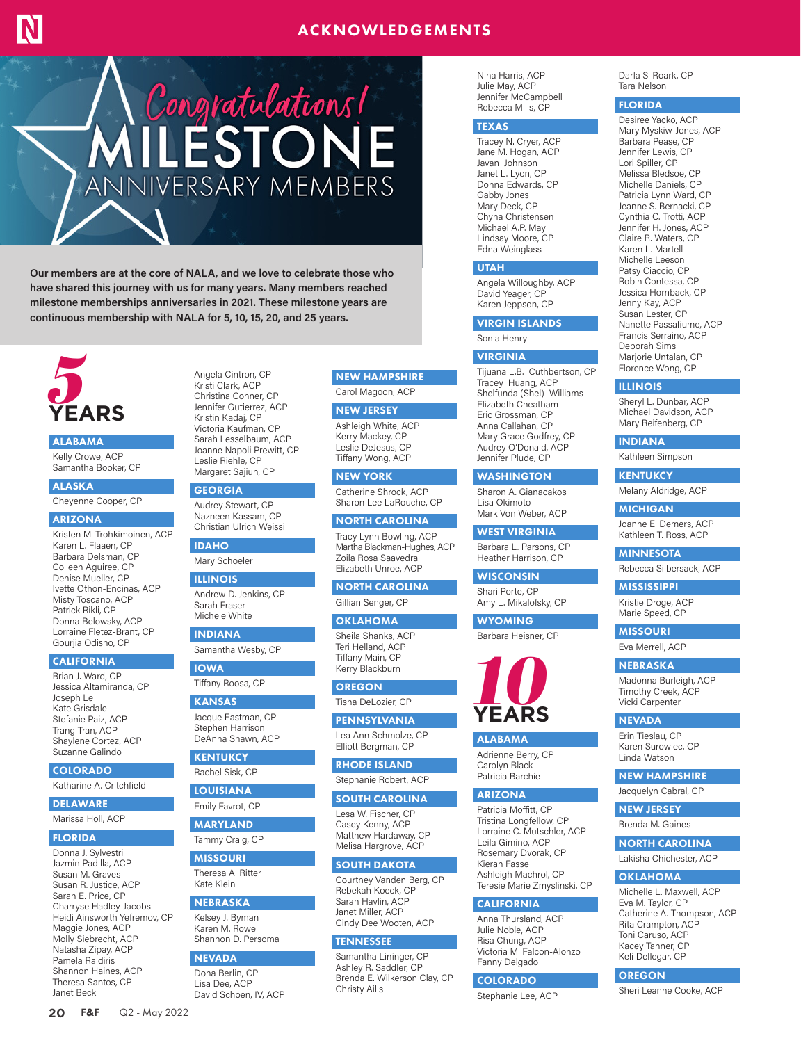# ACKNOWLEDGEMENTS



**Our members are at the core of NALA, and we love to celebrate those who have shared this journey with us for many years. Many members reached milestone memberships anniversaries in 2021. These milestone years are continuous membership with NALA for 5, 10, 15, 20, and 25 years.**



## ALABAMA

Kelly Crowe, ACP Samantha Booker, CP

ALASKA Cheyenne Cooper, CP

### ARIZONA

Kristen M. Trohkimoinen, ACP Karen L. Flaaen, CP Barbara Delsman, CP Colleen Aguiree, CP Denise Mueller, CP Ivette Othon-Encinas, ACP Misty Toscano, ACP Patrick Rikli, CP Donna Belowsky, ACP Lorraine Fletez-Brant, CP Gourjia Odisho, CP

#### **CALIFORNIA**

Brian J. Ward, CP Jessica Altamiranda, CP Joseph Le Kate Grisdale Stefanie Paiz, ACP Trang Tran, ACP Shaylene Cortez, ACP Suzanne Galindo

#### COLORADO

Katharine A. Critchfield

DELAWARE

### Marissa Holl, ACP

## FLORIDA

Donna J. Sylvestri Jazmin Padilla, ACP Susan M. Graves Susan R. Justice, ACP Sarah E. Price, CP Charryse Hadley-Jacobs Heidi Ainsworth Yefremov, CP Maggie Jones, ACP Molly Siebrecht, ACP Natasha Zipay, ACP Pamela Raldiris Shannon Haines, ACP Theresa Santos, CP Janet Beck

**20** F&F Q2 - May 2022

#### Kristi Clark, ACP Christina Conner, CP Jennifer Gutierrez, ACP Kristin Kadaj, CP Victoria Kaufman, CP Sarah Lesselbaum, ACP Joanne Napoli Prewitt, CP Leslie Riehle, CP

**GEORGIA** 

Audrey Stewart, CP Nazneen Kassam, CP Christian Ulrich Weissi

Margaret Sajiun, CP

Angela Cintron, CP

## IDAHO

Mary Schoeler

## ILLINOIS

Andrew D. Jenkins, CP Sarah Fraser Michele White

## INDIANA

Samantha Wesby, CP IOWA

# Tiffany Roosa, CP

KANSAS Jacque Eastman, CP Stephen Harrison DeAnna Shawn, ACP

## **KENTUKCY**

Rachel Sisk, CP

### LOUISIANA

Emily Favrot, CP

## MARYLAND Tammy Craig, CP

MISSOURI Theresa A. Ritter Kate Klein

### NEBRASKA

Kelsey J. Byman Karen M. Rowe Shannon D. Persoma

## **NEVADA**

Dona Berlin, CP Lisa Dee, ACP David Schoen, IV, ACP

## NEW HAMPSHIRE Carol Magoon, ACP

NEW JERSEY

Ashleigh White, ACP Kerry Mackey, CP Leslie DeJesus, CP Tiffany Wong, ACP

NEW YORK

Catherine Shrock, ACP Sharon Lee LaRouche, CP

NORTH CAROLINA Tracy Lynn Bowling, ACP

Martha Blackman-Hughes, ACP Zoila Rosa Saavedra Elizabeth Unroe, ACP

### NORTH CAROLINA Gillian Senger, CP

## **OKLAHOMA**

Sheila Shanks, ACP Teri Helland, ACP Tiffany Main, CP Kerry Blackburn

**OREGON** Tisha DeLozier, CP

**PENNSYLVANIA** Lea Ann Schmolze, CP

Elliott Bergman, CP RHODE ISLAND

Stephanie Robert, ACP

## SOUTH CAROLINA

Lesa W. Fischer, CP Casey Kenny, ACP Matthew Hardaway, CP Melisa Hargrove, ACP

## SOUTH DAKOTA

Courtney Vanden Berg, CP Rebekah Koeck, CP Sarah Havlin, ACP Janet Miller, ACP Cindy Dee Wooten, ACP

## TENNESSEE

Samantha Lininger, CP Ashley R. Saddler, CP Brenda E. Wilkerson Clay, CP Christy Aills

Nina Harris, ACP Julie May, ACP Jennifer McCampbell Rebecca Mills, CP

### TEXAS

Tracey N. Cryer, ACP Jane M. Hogan, ACP Javan Johnson Janet L. Lyon, CP Donna Edwards, CP Gabby Jones Mary Deck, CP Chyna Christensen Michael A.P. May Lindsay Moore, CP Edna Weinglass

### UTAH

Angela Willoughby, ACP David Yeager, CP Karen Jeppson, CP

### VIRGIN ISLANDS

Sonia Henry

### VIRGINIA

Tijuana L.B. Cuthbertson, CP Tracey Huang, ACP Shelfunda (Shel) Williams Elizabeth Cheatham Eric Grossman, CP Anna Callahan, CP Mary Grace Godfrey, CP Audrey O'Donald, ACP Jennifer Plude, CP

### **WASHINGTON**

Sharon A. Gianacakos Lisa Okimoto Mark Von Weber, ACP

## WEST VIRGINIA

Barbara L. Parsons, CP Heather Harrison, CP

# **WISCONSIN**

Shari Porte, CP Amy L. Mikalofsky, CP

### **WYOMING** Barbara Heisner, CP



# ALABAMA

Adrienne Berry, CP Carolyn Black Patricia Barchie

### ARIZONA

Patricia Moffitt, CP Tristina Longfellow, CP Lorraine C. Mutschler, ACP Leila Gimino, ACP Rosemary Dvorak, CP Kieran Fasse Ashleigh Machrol, CP Teresie Marie Zmyslinski, CP

## **CALIFORNIA**

Anna Thursland, ACP Julie Noble, ACP Risa Chung, ACP Victoria M. Falcon-Alonzo Fanny Delgado

### COLORADO

Stephanie Lee, ACP

Darla S. Roark, CP Tara Nelson

# FLORIDA

Desiree Yacko, ACP Mary Myskiw-Jones, ACP Barbara Pease, CP Jennifer Lewis, CP Lori Spiller, CP Melissa Bledsoe, CP Michelle Daniels, CP Patricia Lynn Ward, CP Jeanne S. Bernacki, CP Cynthia C. Trotti, ACP Jennifer H. Jones, ACP Claire R. Waters, CP Karen L. Martell Michelle Leeson Patsy Ciaccio, CP Robin Contessa, CP Jessica Hornback, CP Jenny Kay, ACP Susan Lester, CP Nanette Passafiume, ACP Francis Serraino, ACP Deborah Sims Marjorie Untalan, CP Florence Wong, CP

### ILLINOIS

Sheryl L. Dunbar, ACP Michael Davidson, ACP Mary Reifenberg, CP

## INDIANA

Kathleen Simpson

## **KENTUKCY**

Melany Aldridge, ACP

#### **MICHIGAN**

Joanne E. Demers, ACP Kathleen T. Ross, ACP

MINNESOTA Rebecca Silbersack, ACP

## MISSISSIPPI

Kristie Droge, ACP Marie Speed, CP

## MISSOURI

Eva Merrell, ACP

Madonna Burleigh, ACP Timothy Creek, ACP Vicki Carpenter **NEVADA** Erin Tieslau, CP Karen Surowiec, CP Linda Watson NEW HAMPSHIRE Jacquelyn Cabral, CP NEW JERSEY Brenda M. Gaines NORTH CAROLINA Lakisha Chichester, ACP **OKLAHOMA** Michelle L. Maxwell, ACP Eva M. Taylor, CP Catherine A. Thompson, ACP Rita Crampton, ACP Toni Caruso, ACP Kacey Tanner, CP Keli Dellegar, CP **OREGON** 

Sheri Leanne Cooke, ACP

### **NEBRASKA**